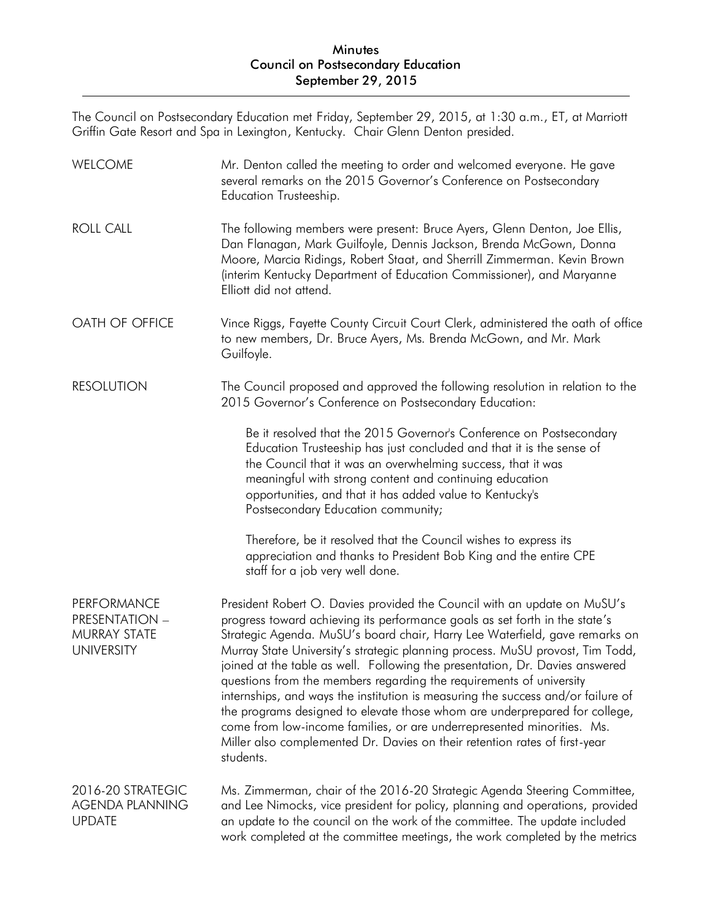The Council on Postsecondary Education met Friday, September 29, 2015, at 1:30 a.m., ET, at Marriott Griffin Gate Resort and Spa in Lexington, Kentucky. Chair Glenn Denton presided.

| WELCOME                                                            | Mr. Denton called the meeting to order and welcomed everyone. He gave<br>several remarks on the 2015 Governor's Conference on Postsecondary<br>Education Trusteeship.                                                                                                                                                                                                                                                                                                                                                                                                                                                                                                                                                                                                                                                 |
|--------------------------------------------------------------------|-----------------------------------------------------------------------------------------------------------------------------------------------------------------------------------------------------------------------------------------------------------------------------------------------------------------------------------------------------------------------------------------------------------------------------------------------------------------------------------------------------------------------------------------------------------------------------------------------------------------------------------------------------------------------------------------------------------------------------------------------------------------------------------------------------------------------|
| <b>ROLL CALL</b>                                                   | The following members were present: Bruce Ayers, Glenn Denton, Joe Ellis,<br>Dan Flanagan, Mark Guilfoyle, Dennis Jackson, Brenda McGown, Donna<br>Moore, Marcia Ridings, Robert Staat, and Sherrill Zimmerman. Kevin Brown<br>(interim Kentucky Department of Education Commissioner), and Maryanne<br>Elliott did not attend.                                                                                                                                                                                                                                                                                                                                                                                                                                                                                       |
| OATH OF OFFICE                                                     | Vince Riggs, Fayette County Circuit Court Clerk, administered the oath of office<br>to new members, Dr. Bruce Ayers, Ms. Brenda McGown, and Mr. Mark<br>Guilfoyle.                                                                                                                                                                                                                                                                                                                                                                                                                                                                                                                                                                                                                                                    |
| <b>RESOLUTION</b>                                                  | The Council proposed and approved the following resolution in relation to the<br>2015 Governor's Conference on Postsecondary Education:                                                                                                                                                                                                                                                                                                                                                                                                                                                                                                                                                                                                                                                                               |
|                                                                    | Be it resolved that the 2015 Governor's Conference on Postsecondary<br>Education Trusteeship has just concluded and that it is the sense of<br>the Council that it was an overwhelming success, that it was<br>meaningful with strong content and continuing education<br>opportunities, and that it has added value to Kentucky's<br>Postsecondary Education community;                                                                                                                                                                                                                                                                                                                                                                                                                                              |
|                                                                    | Therefore, be it resolved that the Council wishes to express its<br>appreciation and thanks to President Bob King and the entire CPE<br>staff for a job very well done.                                                                                                                                                                                                                                                                                                                                                                                                                                                                                                                                                                                                                                               |
| PERFORMANCE<br>PRESENTATION -<br>MURRAY STATE<br><b>UNIVERSITY</b> | President Robert O. Davies provided the Council with an update on MuSU's<br>progress toward achieving its performance goals as set forth in the state's<br>Strategic Agenda. MuSU's board chair, Harry Lee Waterfield, gave remarks on<br>Murray State University's strategic planning process. MuSU provost, Tim Todd,<br>joined at the table as well. Following the presentation, Dr. Davies answered<br>questions from the members regarding the requirements of university<br>internships, and ways the institution is measuring the success and/or failure of<br>the programs designed to elevate those whom are underprepared for college,<br>come from low-income families, or are underrepresented minorities. Ms.<br>Miller also complemented Dr. Davies on their retention rates of first-year<br>students. |
| 2016-20 STRATEGIC<br><b>AGENDA PLANNING</b><br><b>UPDATE</b>       | Ms. Zimmerman, chair of the 2016-20 Strategic Agenda Steering Committee,<br>and Lee Nimocks, vice president for policy, planning and operations, provided<br>an update to the council on the work of the committee. The update included<br>work completed at the committee meetings, the work completed by the metrics                                                                                                                                                                                                                                                                                                                                                                                                                                                                                                |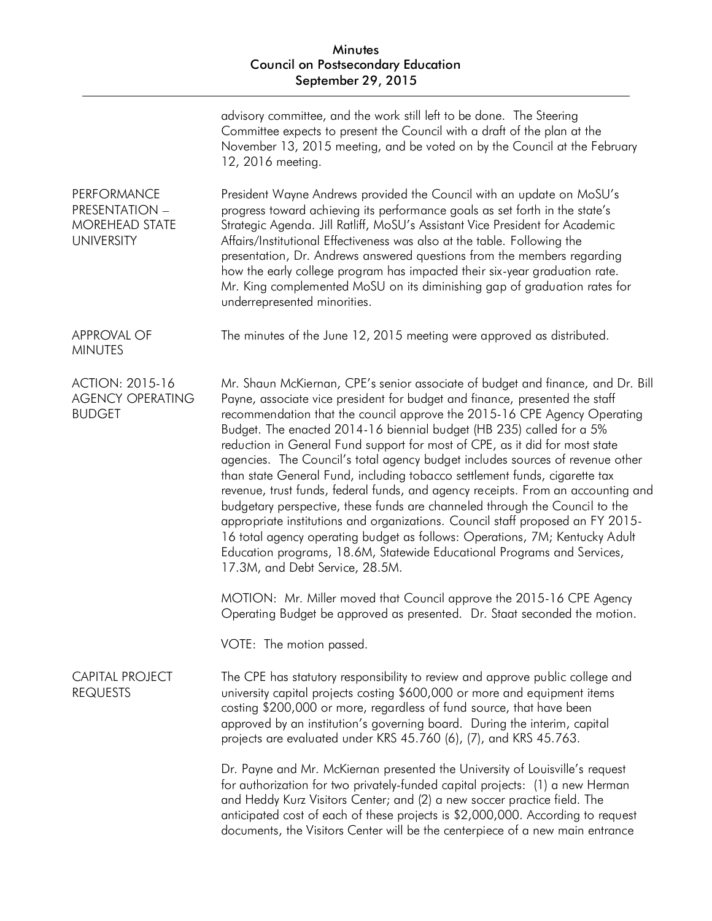|                                                                             | advisory committee, and the work still left to be done. The Steering<br>Committee expects to present the Council with a draft of the plan at the<br>November 13, 2015 meeting, and be voted on by the Council at the February<br>12, 2016 meeting.                                                                                                                                                                                                                                                                                                                                                                                                                                                                                                                                                                                                                                                                                                                                                                 |
|-----------------------------------------------------------------------------|--------------------------------------------------------------------------------------------------------------------------------------------------------------------------------------------------------------------------------------------------------------------------------------------------------------------------------------------------------------------------------------------------------------------------------------------------------------------------------------------------------------------------------------------------------------------------------------------------------------------------------------------------------------------------------------------------------------------------------------------------------------------------------------------------------------------------------------------------------------------------------------------------------------------------------------------------------------------------------------------------------------------|
| PERFORMANCE<br>PRESENTATION -<br><b>MOREHEAD STATE</b><br><b>UNIVERSITY</b> | President Wayne Andrews provided the Council with an update on MoSU's<br>progress toward achieving its performance goals as set forth in the state's<br>Strategic Agenda. Jill Ratliff, MoSU's Assistant Vice President for Academic<br>Affairs/Institutional Effectiveness was also at the table. Following the<br>presentation, Dr. Andrews answered questions from the members regarding<br>how the early college program has impacted their six-year graduation rate.<br>Mr. King complemented MoSU on its diminishing gap of graduation rates for<br>underrepresented minorities.                                                                                                                                                                                                                                                                                                                                                                                                                             |
| <b>APPROVAL OF</b><br><b>MINUTES</b>                                        | The minutes of the June 12, 2015 meeting were approved as distributed.                                                                                                                                                                                                                                                                                                                                                                                                                                                                                                                                                                                                                                                                                                                                                                                                                                                                                                                                             |
| <b>ACTION: 2015-16</b><br><b>AGENCY OPERATING</b><br><b>BUDGET</b>          | Mr. Shaun McKiernan, CPE's senior associate of budget and finance, and Dr. Bill<br>Payne, associate vice president for budget and finance, presented the staff<br>recommendation that the council approve the 2015-16 CPE Agency Operating<br>Budget. The enacted 2014-16 biennial budget (HB 235) called for a 5%<br>reduction in General Fund support for most of CPE, as it did for most state<br>agencies. The Council's total agency budget includes sources of revenue other<br>than state General Fund, including tobacco settlement funds, cigarette tax<br>revenue, trust funds, federal funds, and agency receipts. From an accounting and<br>budgetary perspective, these funds are channeled through the Council to the<br>appropriate institutions and organizations. Council staff proposed an FY 2015-<br>16 total agency operating budget as follows: Operations, 7M; Kentucky Adult<br>Education programs, 18.6M, Statewide Educational Programs and Services,<br>17.3M, and Debt Service, 28.5M. |
|                                                                             | MOTION: Mr. Miller moved that Council approve the 2015-16 CPE Agency<br>Operating Budget be approved as presented. Dr. Staat seconded the motion.                                                                                                                                                                                                                                                                                                                                                                                                                                                                                                                                                                                                                                                                                                                                                                                                                                                                  |
|                                                                             | VOTE: The motion passed.                                                                                                                                                                                                                                                                                                                                                                                                                                                                                                                                                                                                                                                                                                                                                                                                                                                                                                                                                                                           |
| <b>CAPITAL PROJECT</b><br><b>REQUESTS</b>                                   | The CPE has statutory responsibility to review and approve public college and<br>university capital projects costing \$600,000 or more and equipment items<br>costing \$200,000 or more, regardless of fund source, that have been<br>approved by an institution's governing board. During the interim, capital<br>projects are evaluated under KRS 45.760 (6), (7), and KRS 45.763.                                                                                                                                                                                                                                                                                                                                                                                                                                                                                                                                                                                                                               |
|                                                                             | Dr. Payne and Mr. McKiernan presented the University of Louisville's request<br>for authorization for two privately-funded capital projects: (1) a new Herman<br>and Heddy Kurz Visitors Center; and (2) a new soccer practice field. The<br>anticipated cost of each of these projects is \$2,000,000. According to request<br>documents, the Visitors Center will be the centerpiece of a new main entrance                                                                                                                                                                                                                                                                                                                                                                                                                                                                                                                                                                                                      |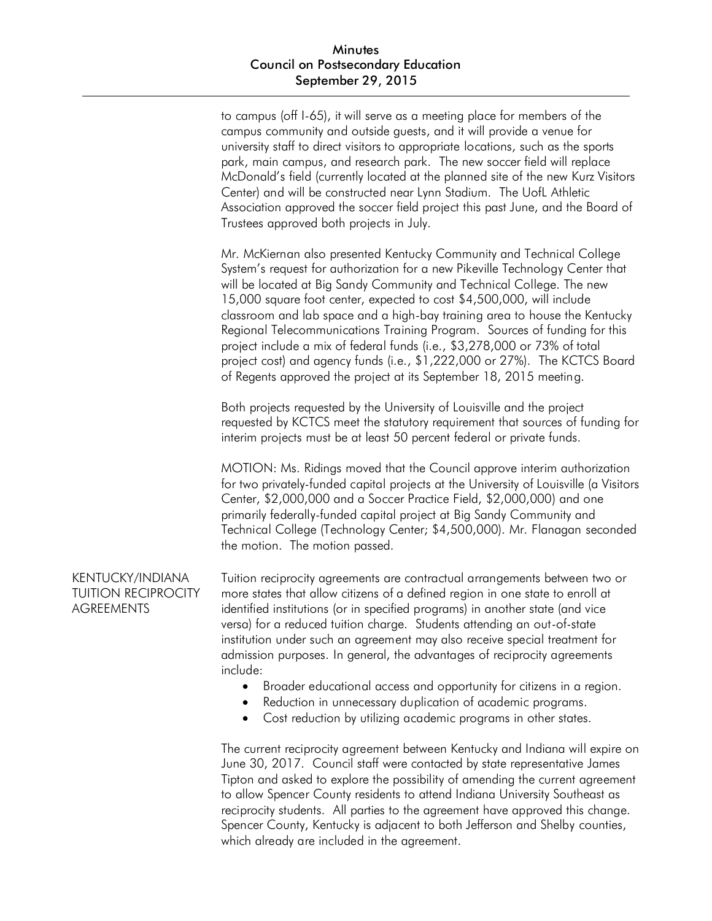to campus (off I-65), it will serve as a meeting place for members of the campus community and outside guests, and it will provide a venue for university staff to direct visitors to appropriate locations, such as the sports park, main campus, and research park. The new soccer field will replace McDonald's field (currently located at the planned site of the new Kurz Visitors Center) and will be constructed near Lynn Stadium. The UofL Athletic Association approved the soccer field project this past June, and the Board of Trustees approved both projects in July.

Mr. McKiernan also presented Kentucky Community and Technical College System's request for authorization for a new Pikeville Technology Center that will be located at Big Sandy Community and Technical College. The new 15,000 square foot center, expected to cost \$4,500,000, will include classroom and lab space and a high-bay training area to house the Kentucky Regional Telecommunications Training Program. Sources of funding for this project include a mix of federal funds (i.e., \$3,278,000 or 73% of total project cost) and agency funds (i.e., \$1,222,000 or 27%). The KCTCS Board of Regents approved the project at its September 18, 2015 meeting.

Both projects requested by the University of Louisville and the project requested by KCTCS meet the statutory requirement that sources of funding for interim projects must be at least 50 percent federal or private funds.

MOTION: Ms. Ridings moved that the Council approve interim authorization for two privately-funded capital projects at the University of Louisville (a Visitors Center, \$2,000,000 and a Soccer Practice Field, \$2,000,000) and one primarily federally-funded capital project at Big Sandy Community and Technical College (Technology Center; \$4,500,000). Mr. Flanagan seconded the motion. The motion passed.

# KENTUCKY/INDIANA TUITION RECIPROCITY **AGREEMENTS**

Tuition reciprocity agreements are contractual arrangements between two or more states that allow citizens of a defined region in one state to enroll at identified institutions (or in specified programs) in another state (and vice versa) for a reduced tuition charge. Students attending an out-of-state institution under such an agreement may also receive special treatment for admission purposes. In general, the advantages of reciprocity agreements include:

- Broader educational access and opportunity for citizens in a region.
- Reduction in unnecessary duplication of academic programs.
- Cost reduction by utilizing academic programs in other states.

The current reciprocity agreement between Kentucky and Indiana will expire on June 30, 2017. Council staff were contacted by state representative James Tipton and asked to explore the possibility of amending the current agreement to allow Spencer County residents to attend Indiana University Southeast as reciprocity students. All parties to the agreement have approved this change. Spencer County, Kentucky is adjacent to both Jefferson and Shelby counties, which already are included in the agreement.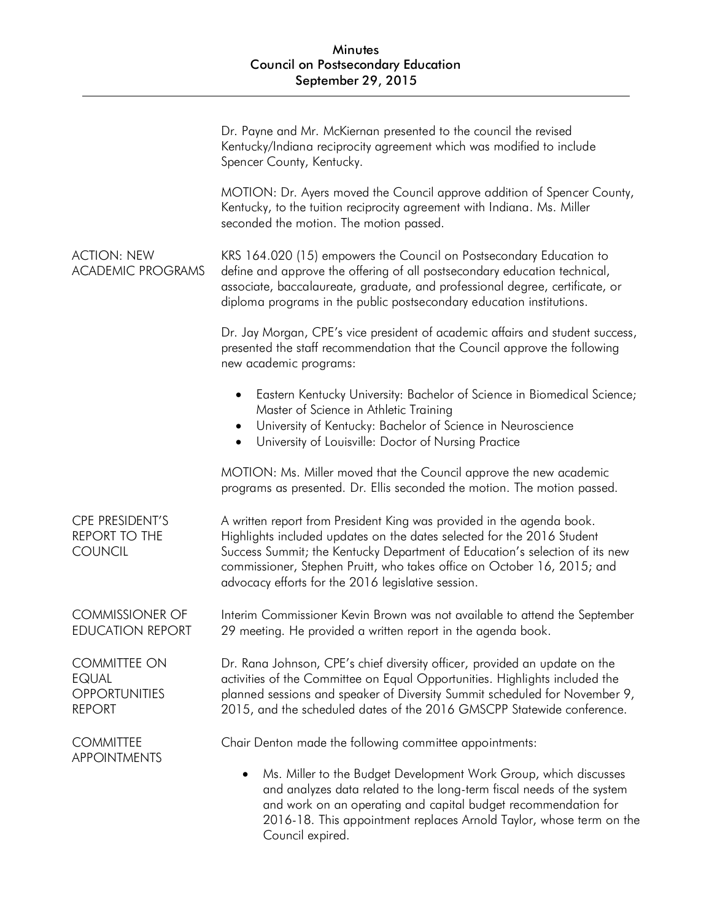|                                                                              | Dr. Payne and Mr. McKiernan presented to the council the revised<br>Kentucky/Indiana reciprocity agreement which was modified to include<br>Spencer County, Kentucky.                                                                                                                                                                                           |
|------------------------------------------------------------------------------|-----------------------------------------------------------------------------------------------------------------------------------------------------------------------------------------------------------------------------------------------------------------------------------------------------------------------------------------------------------------|
|                                                                              | MOTION: Dr. Ayers moved the Council approve addition of Spencer County,<br>Kentucky, to the tuition reciprocity agreement with Indiana. Ms. Miller<br>seconded the motion. The motion passed.                                                                                                                                                                   |
| <b>ACTION: NEW</b><br><b>ACADEMIC PROGRAMS</b>                               | KRS 164.020 (15) empowers the Council on Postsecondary Education to<br>define and approve the offering of all postsecondary education technical,<br>associate, baccalaureate, graduate, and professional degree, certificate, or<br>diploma programs in the public postsecondary education institutions.                                                        |
|                                                                              | Dr. Jay Morgan, CPE's vice president of academic affairs and student success,<br>presented the staff recommendation that the Council approve the following<br>new academic programs:                                                                                                                                                                            |
|                                                                              | Eastern Kentucky University: Bachelor of Science in Biomedical Science;<br>Master of Science in Athletic Training<br>University of Kentucky: Bachelor of Science in Neuroscience<br>$\bullet$<br>University of Louisville: Doctor of Nursing Practice<br>$\bullet$                                                                                              |
|                                                                              | MOTION: Ms. Miller moved that the Council approve the new academic<br>programs as presented. Dr. Ellis seconded the motion. The motion passed.                                                                                                                                                                                                                  |
| CPE PRESIDENT'S<br><b>REPORT TO THE</b><br><b>COUNCIL</b>                    | A written report from President King was provided in the agenda book.<br>Highlights included updates on the dates selected for the 2016 Student<br>Success Summit; the Kentucky Department of Education's selection of its new<br>commissioner, Stephen Pruitt, who takes office on October 16, 2015; and<br>advocacy efforts for the 2016 legislative session. |
| <b>COMMISSIONER OF</b><br><b>EDUCATION REPORT</b>                            | Interim Commissioner Kevin Brown was not available to attend the September<br>29 meeting. He provided a written report in the agenda book.                                                                                                                                                                                                                      |
| <b>COMMITTEE ON</b><br><b>EQUAL</b><br><b>OPPORTUNITIES</b><br><b>REPORT</b> | Dr. Rana Johnson, CPE's chief diversity officer, provided an update on the<br>activities of the Committee on Equal Opportunities. Highlights included the<br>planned sessions and speaker of Diversity Summit scheduled for November 9,<br>2015, and the scheduled dates of the 2016 GMSCPP Statewide conference.                                               |
| <b>COMMITTEE</b><br><b>APPOINTMENTS</b>                                      | Chair Denton made the following committee appointments:                                                                                                                                                                                                                                                                                                         |
|                                                                              | Ms. Miller to the Budget Development Work Group, which discusses<br>and analyzes data related to the long-term fiscal needs of the system<br>and work on an operating and capital budget recommendation for<br>2016-18. This appointment replaces Arnold Taylor, whose term on the<br>Council expired.                                                          |